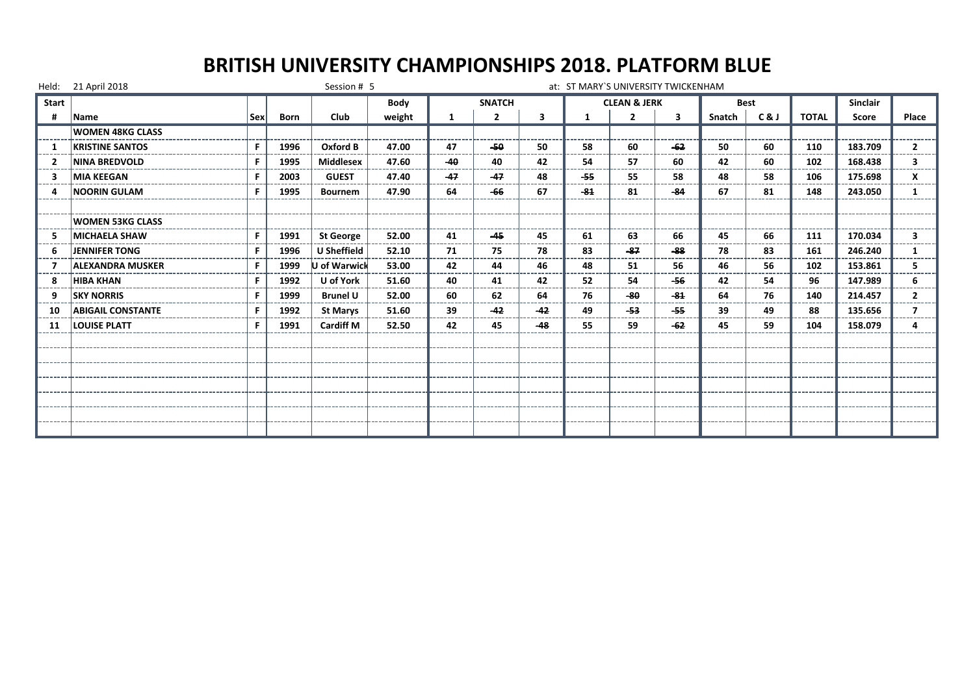|              | Held: 21 April 2018      |     |             | Session # 5      |        |       |                |       | at: ST MARY'S UNIVERSITY TWICKENHAM |                         |       |        |             |              |                 |                         |
|--------------|--------------------------|-----|-------------|------------------|--------|-------|----------------|-------|-------------------------------------|-------------------------|-------|--------|-------------|--------------|-----------------|-------------------------|
| <b>Start</b> |                          |     |             |                  | Body   |       | <b>SNATCH</b>  |       |                                     | <b>CLEAN &amp; JERK</b> |       |        | <b>Best</b> |              | <b>Sinclair</b> |                         |
| #            | <b>Name</b>              | Sex | <b>Born</b> | Club             | weight | 1     | $\overline{2}$ | 3     | -1                                  | $\overline{2}$          | 3     | Snatch | C&J         | <b>TOTAL</b> | Score           | Place                   |
|              | <b>WOMEN 48KG CLASS</b>  |     |             |                  |        |       |                |       |                                     |                         |       |        |             |              |                 |                         |
|              | <b>KRISTINE SANTOS</b>   | F.  | 1996        | Oxford B         | 47.00  | 47    | $-50$          | 50    | 58                                  | 60                      | $-62$ | 50     | 60          | 110          | 183.709         | $\overline{2}$          |
|              | <b>NINA BREDVOLD</b>     | F   | 1995        | <b>Middlesex</b> | 47.60  | $-40$ | 40             | 42    | 54                                  | 57                      | 60    | 42     | 60          | 102          | 168.438         | 3                       |
| 3            | <b>MIA KEEGAN</b>        | F   | 2003        | <b>GUEST</b>     | 47.40  | $-47$ | $-47$          | 48    | -55                                 | 55                      | 58    | 48     | 58          | 106          | 175.698         | x                       |
| Δ            | <b>NOORIN GULAM</b>      | F   | 1995        | <b>Bournem</b>   | 47.90  | 64    | $-66$          | 67    | $-84$                               | 81                      | $-84$ | 67     | 81          | 148          | 243.050         | 1                       |
|              |                          |     |             |                  |        |       |                |       |                                     |                         |       |        |             |              |                 |                         |
|              | <b>WOMEN 53KG CLASS</b>  |     |             |                  |        |       |                |       |                                     |                         |       |        |             |              |                 |                         |
|              | <b>MICHAELA SHAW</b>     | F.  | 1991        | <b>St George</b> | 52.00  | 41    | $-45$          | 45    | 61                                  | 63                      | 66    | 45     | 66          | 111          | 170.034         | 3                       |
| 6            | <b>JENNIFER TONG</b>     | F.  | 1996        | U Sheffield      | 52.10  | 71    | 75             | 78    | 83                                  | $-87$                   | $-88$ | 78     | 83          | 161          | 246.240         |                         |
|              | <b>ALEXANDRA MUSKER</b>  | F.  | 1999        | U of Warwick     | 53.00  | 42    | 44             | 46    | 48                                  | 51                      | 56    | 46     | 56          | 102          | 153.861         | 5.                      |
| 8            | <b>HIBA KHAN</b>         | F   | 1992        | U of York        | 51.60  | 40    | 41             | 42    | 52                                  | 54                      | -56   | 42     | 54          | 96           | 147.989         | 6                       |
|              | <b>SKY NORRIS</b>        |     | 1999        | <b>Brunel U</b>  | 52.00  | 60    | 62             | 64    | 76                                  | -80                     | $-84$ | 64     | 76          | 140          | 214.457         | $\overline{2}$          |
| 10           | <b>ABIGAIL CONSTANTE</b> | F   | 1992        | <b>St Marys</b>  | 51.60  | 39    | $-42$          | $-42$ | 49                                  | -53                     | -55   | 39     | 49          | 88           | 135.656         | $\overline{\mathbf{z}}$ |
| 11           | <b>LOUISE PLATT</b>      | F   | 1991        | <b>Cardiff M</b> | 52.50  | 42    | 45             | $-48$ | 55                                  | 59                      | $-62$ | 45     | 59          | 104          | 158.079         |                         |
|              |                          |     |             |                  |        |       |                |       |                                     |                         |       |        |             |              |                 |                         |
|              |                          |     |             |                  |        |       |                |       |                                     |                         |       |        |             |              |                 |                         |
|              |                          |     |             |                  |        |       |                |       |                                     |                         |       |        |             |              |                 |                         |
|              |                          |     |             |                  |        |       |                |       |                                     |                         |       |        |             |              |                 |                         |
|              |                          |     |             |                  |        |       |                |       |                                     |                         |       |        |             |              |                 |                         |
|              |                          |     |             |                  |        |       |                |       |                                     |                         |       |        |             |              |                 |                         |
|              |                          |     |             |                  |        |       |                |       |                                     |                         |       |        |             |              |                 |                         |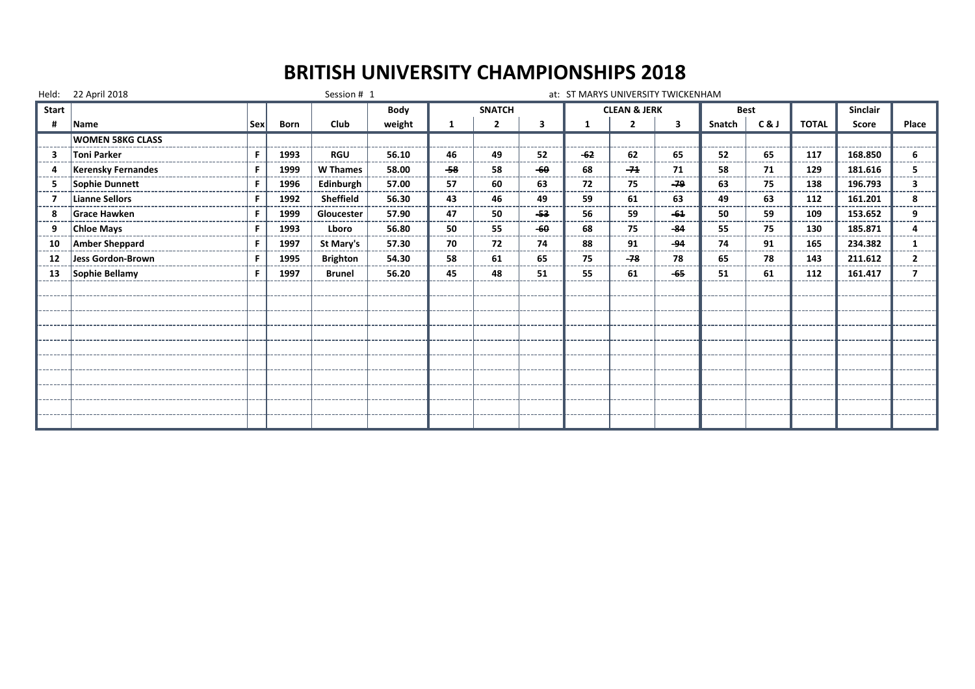# **BRITISH UNIVERSITY CHAMPIONSHIPS 2018**

|       | Held: 22 April 2018       |     |             | Session # 1     |        |     |                |     | at: ST MARYS UNIVERSITY TWICKENHAM |                         |            |             |              |              |                 |       |
|-------|---------------------------|-----|-------------|-----------------|--------|-----|----------------|-----|------------------------------------|-------------------------|------------|-------------|--------------|--------------|-----------------|-------|
| Start |                           |     |             |                 | Body   |     | <b>SNATCH</b>  |     |                                    | <b>CLEAN &amp; JERK</b> |            | <b>Best</b> |              |              | <b>Sinclair</b> |       |
| #     | Name                      | Sex | <b>Born</b> | Club            | weight | 1   | $\overline{2}$ | 3   |                                    | $\overline{2}$          | 3          | Snatch      | C&J          | <b>TOTAL</b> | Score           | Place |
|       | <b>WOMEN 58KG CLASS</b>   |     |             |                 |        |     |                |     |                                    |                         |            |             |              |              |                 |       |
| 3     | Toni Parker               | F.  | 1993        | <b>RGU</b>      | 56.10  | 46  | 49             | 52  | $-62$                              | 62                      | 65         | 52          | 65           | 117          | 168.850         | 6.    |
|       | <b>Kerensky Fernandes</b> | F.  | 1999        | <b>W</b> Thames | 58.00  | -58 | 58<br>----     | -60 | 68                                 | $-74$                   | 71<br>---- | 58<br>----- | 71<br>------ | 129          | 181.616         |       |
| 5     | Sophie Dunnett            | F   | 1996        | Edinburgh       | 57.00  | 57  | 60             | 63  | 72                                 | 75                      | $-79$      | 63          | 75           | 138          | 196.793         |       |
|       | Lianne Sellors            | F   | 1992        | Sheffield       | 56.30  | 43  | 46             | 49  | 59                                 | 61                      | 63         | 49          | 63           | 112          | 161.201         | 8     |
| 8     | Grace Hawken              | F.  | 1999        | Gloucester      | 57.90  | 47  | 50             | -53 | 56                                 | 59                      | $-64$      | 50          | 59           | 109          | 153.652         | 9     |
| 9     | <b>Chloe Mays</b>         | F.  | 1993        | Lboro           | 56.80  | 50  | 55             | -60 | 68                                 | 75                      | -84        | 55          | 75           | 130          | 185.871         |       |
| 10    | <b>Amber Sheppard</b>     | F.  | 1997        | St Mary's       | 57.30  | 70  | 72             | 74  | 88                                 | 91                      | -94        | 74          | 91           | 165          | 234.382         |       |
| 12    | Jess Gordon-Brown         | F   | 1995        | <b>Brighton</b> | 54.30  | 58  | 61             | 65  | 75                                 | $-78$                   | 78         | 65          | 78           | 143          | 211.612         |       |
| 13    | Sophie Bellamy            | F.  | 1997        | <b>Brunel</b>   | 56.20  | 45  | 48             | 51  | 55                                 | 61                      | $-65$      | 51          | 61           | 112          | 161.417         |       |
|       |                           |     |             |                 |        |     |                |     |                                    |                         |            |             |              |              |                 |       |
|       |                           |     |             |                 |        |     |                |     |                                    |                         |            |             |              |              |                 |       |
|       |                           |     |             |                 |        |     |                |     |                                    |                         |            |             |              |              |                 |       |
|       |                           |     |             |                 |        |     |                |     |                                    |                         |            |             |              |              |                 |       |
|       |                           |     |             |                 |        |     |                |     |                                    |                         |            |             |              |              |                 |       |
|       |                           |     |             |                 |        |     |                |     |                                    |                         |            |             |              |              |                 |       |
|       |                           |     |             |                 |        |     |                |     |                                    |                         |            |             |              |              |                 |       |
|       |                           |     |             |                 |        |     |                |     |                                    |                         |            |             |              |              |                 |       |
|       |                           |     |             |                 |        |     |                |     |                                    |                         |            |             |              |              |                 |       |
|       |                           |     |             |                 |        |     |                |     |                                    |                         |            |             |              |              |                 |       |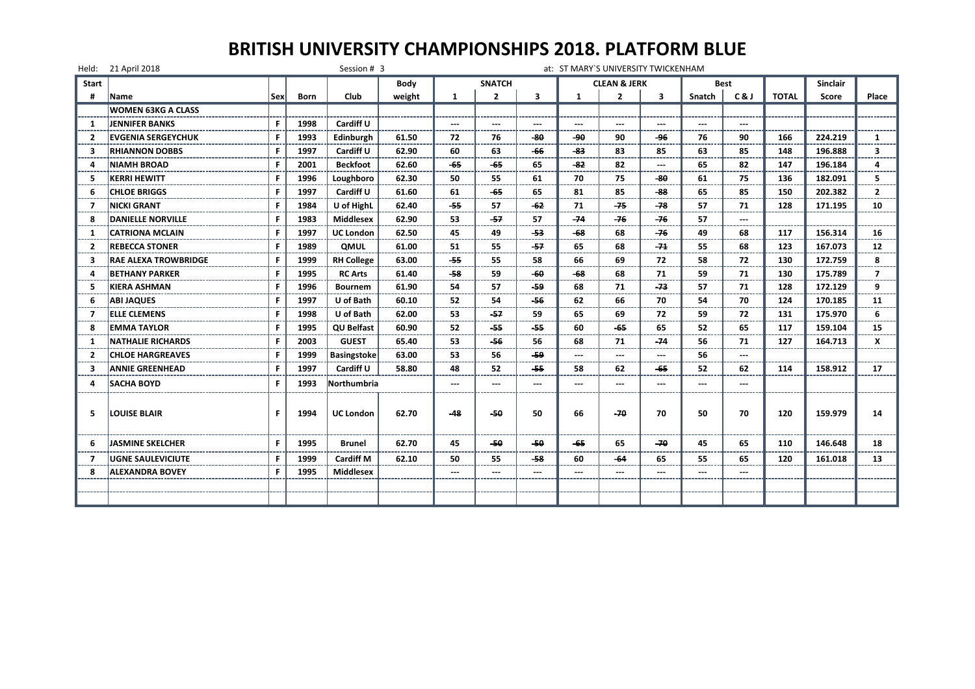|                | Held: 21 April 2018         |     |             | Session # 3        |             |               |                                                                                                                                                                                                                                                                                                                                                                                                                                                                            |                                                                                                                                                                                                                                                                                                                                                                                                                                                                            |              | at: ST MARY'S UNIVERSITY TWICKENHAM |                      |        |                   |              |                 |                |
|----------------|-----------------------------|-----|-------------|--------------------|-------------|---------------|----------------------------------------------------------------------------------------------------------------------------------------------------------------------------------------------------------------------------------------------------------------------------------------------------------------------------------------------------------------------------------------------------------------------------------------------------------------------------|----------------------------------------------------------------------------------------------------------------------------------------------------------------------------------------------------------------------------------------------------------------------------------------------------------------------------------------------------------------------------------------------------------------------------------------------------------------------------|--------------|-------------------------------------|----------------------|--------|-------------------|--------------|-----------------|----------------|
| <b>Start</b>   |                             |     |             |                    | <b>Body</b> |               | <b>SNATCH</b>                                                                                                                                                                                                                                                                                                                                                                                                                                                              |                                                                                                                                                                                                                                                                                                                                                                                                                                                                            |              | <b>CLEAN &amp; JERK</b>             |                      |        | Best              |              | <b>Sinclair</b> |                |
| #              | Name                        | Sex | <b>Born</b> | Club               | weight      | $\mathbf{1}$  | $\overline{2}$                                                                                                                                                                                                                                                                                                                                                                                                                                                             | 3                                                                                                                                                                                                                                                                                                                                                                                                                                                                          | $\mathbf{1}$ | $\overline{2}$                      | 3                    | Snatch | C&J               | <b>TOTAL</b> | Score           | Place          |
|                | <b>WOMEN 63KG A CLASS</b>   |     |             |                    |             |               |                                                                                                                                                                                                                                                                                                                                                                                                                                                                            |                                                                                                                                                                                                                                                                                                                                                                                                                                                                            |              |                                     |                      |        |                   |              |                 |                |
| 1              | <b>JENNIFER BANKS</b>       | F.  | 1998        | Cardiff U          |             | $\sim$ $\sim$ | $\frac{1}{2} \left( \frac{1}{2} \right) \left( \frac{1}{2} \right) \left( \frac{1}{2} \right) \left( \frac{1}{2} \right) \left( \frac{1}{2} \right) \left( \frac{1}{2} \right) \left( \frac{1}{2} \right) \left( \frac{1}{2} \right) \left( \frac{1}{2} \right) \left( \frac{1}{2} \right) \left( \frac{1}{2} \right) \left( \frac{1}{2} \right) \left( \frac{1}{2} \right) \left( \frac{1}{2} \right) \left( \frac{1}{2} \right) \left( \frac{1}{2} \right) \left( \frac$ | $\frac{1}{2} \left( \frac{1}{2} \right) \left( \frac{1}{2} \right) \left( \frac{1}{2} \right) \left( \frac{1}{2} \right) \left( \frac{1}{2} \right) \left( \frac{1}{2} \right) \left( \frac{1}{2} \right) \left( \frac{1}{2} \right) \left( \frac{1}{2} \right) \left( \frac{1}{2} \right) \left( \frac{1}{2} \right) \left( \frac{1}{2} \right) \left( \frac{1}{2} \right) \left( \frac{1}{2} \right) \left( \frac{1}{2} \right) \left( \frac{1}{2} \right) \left( \frac$ | $\cdots$     | $\sim$ $\sim$                       | $\cdots$             | $\sim$ | $\sim$            |              |                 |                |
| $\overline{2}$ | <b>EVGENIA SERGEYCHUK</b>   | F   | 1993        | Edinburgh          | 61.50       | 72            | 76                                                                                                                                                                                                                                                                                                                                                                                                                                                                         | -80                                                                                                                                                                                                                                                                                                                                                                                                                                                                        | هو۔          | 90                                  | -96                  | 76     | 90                | 166          | 224.219         | $\mathbf{1}$   |
| 3              | <b>RHIANNON DOBBS</b>       | F.  | 1997        | Cardiff U          | 62.90       | 60            | 63                                                                                                                                                                                                                                                                                                                                                                                                                                                                         | -66                                                                                                                                                                                                                                                                                                                                                                                                                                                                        | -83          | 83                                  | 85                   | 63     | 85                | 148          | 196.888         | 3              |
| 4              | <b>NIAMH BROAD</b>          | F.  | 2001        | <b>Beckfoot</b>    | 62.60       | $-65$         | -65                                                                                                                                                                                                                                                                                                                                                                                                                                                                        | 65                                                                                                                                                                                                                                                                                                                                                                                                                                                                         | -82          | 82                                  | $\sim$ $\sim$ $\sim$ | 65     | 82                | 147          | 196.184         | 4              |
| 5              | <b>KERRI HEWITT</b>         | F.  | 1996        | Loughboro          | 62.30       | 50            | 55                                                                                                                                                                                                                                                                                                                                                                                                                                                                         | 61                                                                                                                                                                                                                                                                                                                                                                                                                                                                         | 70           | 75                                  | -80                  | 61     | 75                | 136          | 182.091         | 5              |
| 6              | <b>CHLOE BRIGGS</b>         | F.  | 1997        | Cardiff U          | 61.60       | 61            | -65                                                                                                                                                                                                                                                                                                                                                                                                                                                                        | 65                                                                                                                                                                                                                                                                                                                                                                                                                                                                         | 81           | 85                                  | -88                  | 65     | 85                | 150          | 202.382         | $\overline{2}$ |
| 7              | <b>NICKI GRANT</b>          | F.  | 1984        | U of HighL         | 62.40       | -55           | 57                                                                                                                                                                                                                                                                                                                                                                                                                                                                         | -62                                                                                                                                                                                                                                                                                                                                                                                                                                                                        | 71           | -75                                 | -78                  | 57     | 71                | 128          | 171.195         | 10             |
| 8              | <b>DANIELLE NORVILLE</b>    | F.  | 1983        | <b>Middlesex</b>   | 62.90       | 53            | -57                                                                                                                                                                                                                                                                                                                                                                                                                                                                        | 57                                                                                                                                                                                                                                                                                                                                                                                                                                                                         | $-74$        | -76                                 | -76                  | 57     | $\sim$            |              |                 |                |
| 1              | <b>CATRIONA MCLAIN</b>      | F   | 1997        | <b>UC London</b>   | 62.50       | 45            | 49                                                                                                                                                                                                                                                                                                                                                                                                                                                                         | -53                                                                                                                                                                                                                                                                                                                                                                                                                                                                        | $-68$        | 68                                  | -76                  | 49     | 68                | 117          | 156.314         | 16             |
| $\overline{2}$ | <b>REBECCA STONER</b>       | F.  | 1989        | <b>QMUL</b>        | 61.00       | 51            | 55                                                                                                                                                                                                                                                                                                                                                                                                                                                                         | -57                                                                                                                                                                                                                                                                                                                                                                                                                                                                        | 65           | 68                                  | -71                  | 55     | 68                | 123          | 167.073         | 12             |
| з              | <b>RAE ALEXA TROWBRIDGE</b> | F.  | 1999        | <b>RH College</b>  | 63.00       | -55           | 55.                                                                                                                                                                                                                                                                                                                                                                                                                                                                        | 58                                                                                                                                                                                                                                                                                                                                                                                                                                                                         | 66           | 69                                  | 72                   | 58     | 72                | 130          | 172.759         | 8              |
| 4              | <b>BETHANY PARKER</b>       | F   | 1995        | <b>RC Arts</b>     | 61.40       | -58           | 59                                                                                                                                                                                                                                                                                                                                                                                                                                                                         | -60                                                                                                                                                                                                                                                                                                                                                                                                                                                                        | -68          | 68                                  | 71                   | 59     | 71                | 130          | 175.789         | $\overline{7}$ |
| 5              | <b>KIERA ASHMAN</b>         | F.  | 1996        | <b>Bournem</b>     | 61.90       | 54            | 57                                                                                                                                                                                                                                                                                                                                                                                                                                                                         | -59                                                                                                                                                                                                                                                                                                                                                                                                                                                                        | 68           | 71                                  | -73                  | 57     | 71                | 128          | 172.129         | 9              |
| 6              | <b>ABI JAQUES</b>           | F.  | 1997        | U of Bath          | 60.10       | 52            | 54                                                                                                                                                                                                                                                                                                                                                                                                                                                                         | -56                                                                                                                                                                                                                                                                                                                                                                                                                                                                        | 62           | 66                                  | 70                   | 54     | 70                | 124          | 170.185         | 11             |
| 7              | <b>ELLE CLEMENS</b>         | F.  | 1998        | U of Bath          | 62.00       | 53            | -57                                                                                                                                                                                                                                                                                                                                                                                                                                                                        | 59                                                                                                                                                                                                                                                                                                                                                                                                                                                                         | 65           | 69                                  | 72                   | 59     | 72                | 131          | 175.970         | 6              |
| 8              | <b>EMMA TAYLOR</b>          | F.  | 1995        | <b>QU Belfast</b>  | 60.90       | 52            | -55                                                                                                                                                                                                                                                                                                                                                                                                                                                                        | -55                                                                                                                                                                                                                                                                                                                                                                                                                                                                        | 60           | $-65$                               | 65                   | 52     | 65                | 117          | 159.104         | 15             |
| -1             | <b>NATHALIE RICHARDS</b>    | F   | 2003        | <b>GUEST</b>       | 65.40       | 53            | -56                                                                                                                                                                                                                                                                                                                                                                                                                                                                        | 56                                                                                                                                                                                                                                                                                                                                                                                                                                                                         | 68           | 71                                  | -74                  | 56     | 71                | 127          | 164.713         | x              |
| $\overline{2}$ | <b>CHLOE HARGREAVES</b>     | F.  | 1999        | <b>Basingstoke</b> | 63.00       | 53            | 56                                                                                                                                                                                                                                                                                                                                                                                                                                                                         | -59                                                                                                                                                                                                                                                                                                                                                                                                                                                                        | $\cdots$     | $\qquad \qquad \cdots$              | $\cdots$             | 56     | $\hspace{0.05cm}$ |              |                 |                |
| 3              | <b>ANNIE GREENHEAD</b>      | F.  | 1997        | Cardiff U          | 58.80       | 48            | 52                                                                                                                                                                                                                                                                                                                                                                                                                                                                         | -55                                                                                                                                                                                                                                                                                                                                                                                                                                                                        | 58           | 62                                  | -65                  | 52     | 62                | 114          | 158.912         | 17             |
| 4              | <b>SACHA BOYD</b>           | F.  | 1993        | Northumbria        |             | $\sim$ $\sim$ | $\frac{1}{2} \left( \frac{1}{2} \right) \left( \frac{1}{2} \right) \left( \frac{1}{2} \right) \left( \frac{1}{2} \right) \left( \frac{1}{2} \right) \left( \frac{1}{2} \right) \left( \frac{1}{2} \right) \left( \frac{1}{2} \right) \left( \frac{1}{2} \right) \left( \frac{1}{2} \right) \left( \frac{1}{2} \right) \left( \frac{1}{2} \right) \left( \frac{1}{2} \right) \left( \frac{1}{2} \right) \left( \frac{1}{2} \right) \left( \frac{1}{2} \right) \left( \frac$ | $\frac{1}{2} \left( \frac{1}{2} \right) \left( \frac{1}{2} \right) \left( \frac{1}{2} \right) \left( \frac{1}{2} \right) \left( \frac{1}{2} \right) \left( \frac{1}{2} \right) \left( \frac{1}{2} \right) \left( \frac{1}{2} \right) \left( \frac{1}{2} \right) \left( \frac{1}{2} \right) \left( \frac{1}{2} \right) \left( \frac{1}{2} \right) \left( \frac{1}{2} \right) \left( \frac{1}{2} \right) \left( \frac{1}{2} \right) \left( \frac{1}{2} \right) \left( \frac$ | $\cdots$     | $\sim$ $\sim$                       | $\sim$ $\sim$ $\sim$ | $\sim$ | $\sim$            |              |                 |                |
| 5              | <b>LOUISE BLAIR</b>         | F.  | 1994        | <b>UC London</b>   | 62.70       | $-48$         | -50                                                                                                                                                                                                                                                                                                                                                                                                                                                                        | 50                                                                                                                                                                                                                                                                                                                                                                                                                                                                         | 66           | -70                                 | 70                   | 50     | 70                | 120          | 159.979         | 14             |
| 6              | <b>JASMINE SKELCHER</b>     | F.  | 1995        | <b>Brunel</b>      | 62.70       | 45            | -50                                                                                                                                                                                                                                                                                                                                                                                                                                                                        | -50                                                                                                                                                                                                                                                                                                                                                                                                                                                                        | -65          | 65                                  | -70                  | 45     | 65                | 110          | 146.648         | 18             |
| 7              | <b>UGNE SAULEVICIUTE</b>    | F.  | 1999        | <b>Cardiff M</b>   | 62.10       | 50            | 55                                                                                                                                                                                                                                                                                                                                                                                                                                                                         | -58                                                                                                                                                                                                                                                                                                                                                                                                                                                                        | 60           | -64                                 | 65                   | 55     | 65                | 120          | 161.018         | 13             |
| 8              | <b>ALEXANDRA BOVEY</b>      | F   | 1995        | Middlesex          |             | $\sim$ $\sim$ | ---                                                                                                                                                                                                                                                                                                                                                                                                                                                                        | ---                                                                                                                                                                                                                                                                                                                                                                                                                                                                        | ---          | $---$                               | ---                  | ---    | ---               |              |                 |                |
|                |                             |     |             |                    |             |               |                                                                                                                                                                                                                                                                                                                                                                                                                                                                            |                                                                                                                                                                                                                                                                                                                                                                                                                                                                            |              |                                     |                      |        |                   |              |                 |                |
|                |                             |     |             |                    |             |               |                                                                                                                                                                                                                                                                                                                                                                                                                                                                            |                                                                                                                                                                                                                                                                                                                                                                                                                                                                            |              |                                     |                      |        |                   |              |                 |                |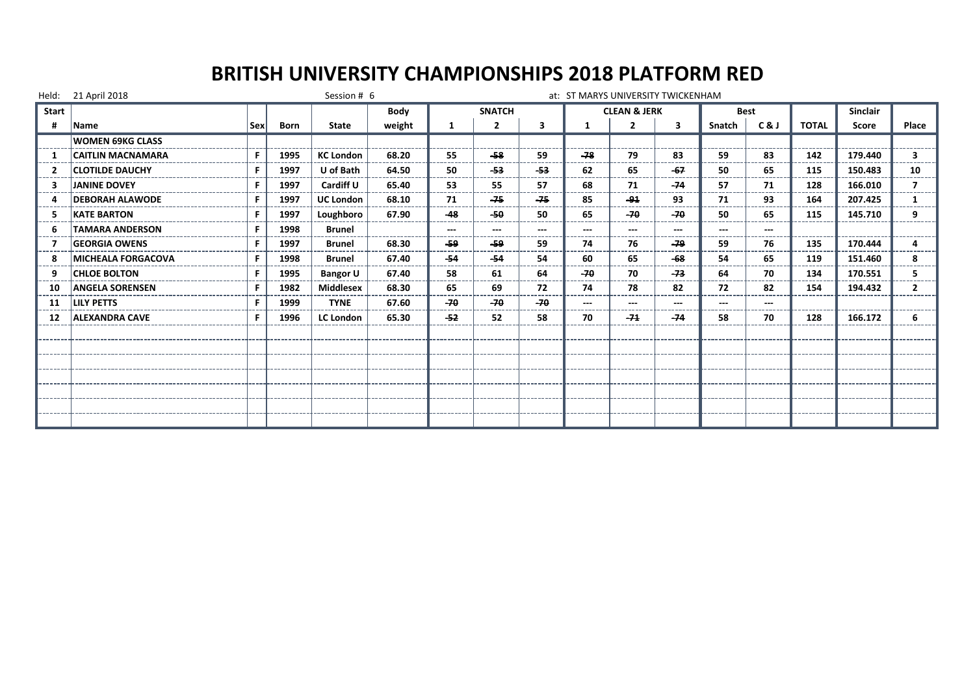| Held:        | 21 April 2018             |     |      | Session # 6      |        |            |                |       |       | at: ST MARYS UNIVERSITY TWICKENHAM |                         |             |     |              |                 |                |
|--------------|---------------------------|-----|------|------------------|--------|------------|----------------|-------|-------|------------------------------------|-------------------------|-------------|-----|--------------|-----------------|----------------|
| <b>Start</b> |                           |     |      |                  | Body   |            | <b>SNATCH</b>  |       |       | <b>CLEAN &amp; JERK</b>            |                         | <b>Best</b> |     |              | <b>Sinclair</b> |                |
| #            | <b>Name</b>               | Sex | Born | State            | weight | 1          | $\overline{2}$ | 3     |       | $\overline{2}$                     | $\overline{\mathbf{3}}$ | Snatch      | C&J | <b>TOTAL</b> | Score           | Place          |
|              | <b>WOMEN 69KG CLASS</b>   |     |      |                  |        |            |                |       |       |                                    |                         |             |     |              |                 |                |
|              | <b>CAITLIN MACNAMARA</b>  | F   | 1995 | <b>KC London</b> | 68.20  | 55         | -58            | 59    | $-78$ | 79                                 | 83                      | 59          | 83  | 142          | 179.440         | 3.             |
|              | <b>CLOTILDE DAUCHY</b>    | F   | 1997 | U of Bath        | 64.50  | 50         | -53            | $-53$ | 62    | 65                                 | $-67$                   | 50          | 65  | 115          | 150.483         | 10             |
| з            | <b>JANINE DOVEY</b>       | F   | 1997 | Cardiff U        | 65.40  | 53         | 55             | 57    | 68    | 71                                 | $-74$                   | 57          | 71  | 128          | 166.010         |                |
| Δ            | <b>DEBORAH ALAWODE</b>    | F   | 1997 | <b>UC London</b> | 68.10  | 71<br>---- | $-75$          | $-75$ | 85    | -91                                | 93                      | 71          | 93  | 164          | 207.425         | 1              |
| 5            | <b>KATE BARTON</b>        | F   | 1997 | Loughboro        | 67.90  | $-48$      | $-50$          | 50    | 65    | $-70$                              | $-70$                   | 50          | 65  | 115          | 145.710         | 9              |
| 6            | <b>TAMARA ANDERSON</b>    | F   | 1998 | <b>Brunel</b>    |        | $---$      | $---$          | ---   |       |                                    | $---$                   |             |     |              |                 |                |
|              | <b>GEORGIA OWENS</b>      | F   | 1997 | <b>Brunel</b>    | 68.30  | -59        | -59            | 59    | 74    | 76                                 | -79                     | 59          | 76  | 135          | 170.444         | 4              |
| 8            | <b>MICHEALA FORGACOVA</b> | F   | 1998 | <b>Brunel</b>    | 67.40  | $-54$      | $-54$          | 54    | 60    | 65                                 | -68                     | 54          | 65  | 119          | 151.460         | 8              |
| 9            | <b>CHLOE BOLTON</b>       | F.  | 1995 | <b>Bangor U</b>  | 67.40  | 58         | 61             | 64    | $-70$ | 70                                 | $-73$                   | 64          | 70  | 134          | 170.551         | 5.             |
| 10           | <b>ANGELA SORENSEN</b>    | F   | 1982 | <b>Middlesex</b> | 68.30  | 65         | 69             | 72    | 74    | 78                                 | 82                      | 72          | 82  | 154          | 194.432         | $\overline{2}$ |
| 11           | <b>LILY PETTS</b>         | F   | 1999 | <b>TYNE</b>      | 67.60  | $-70$      | $-70$          | $-70$ |       | $\overline{a}$                     | $\overline{a}$          | ---         |     |              |                 |                |
| 12           | <b>ALEXANDRA CAVE</b>     | F   | 1996 | <b>LC London</b> | 65.30  | -52        | 52             | 58    | 70    | $-74$                              | $-74$                   | 58          | 70  | 128          | 166.172         | 6              |
|              |                           |     |      |                  |        |            |                |       |       |                                    |                         |             |     |              |                 |                |
|              |                           |     |      |                  |        |            |                |       |       |                                    |                         |             |     |              |                 |                |
|              |                           |     |      |                  |        |            |                |       |       |                                    |                         |             |     |              |                 |                |
|              |                           |     |      |                  |        |            |                |       |       |                                    |                         |             |     |              |                 |                |
|              |                           |     |      |                  |        |            |                |       |       |                                    |                         |             |     |              |                 |                |
|              |                           |     |      |                  |        |            |                |       |       |                                    |                         |             |     |              |                 |                |
|              |                           |     |      |                  |        |            |                |       |       |                                    |                         |             |     |              |                 |                |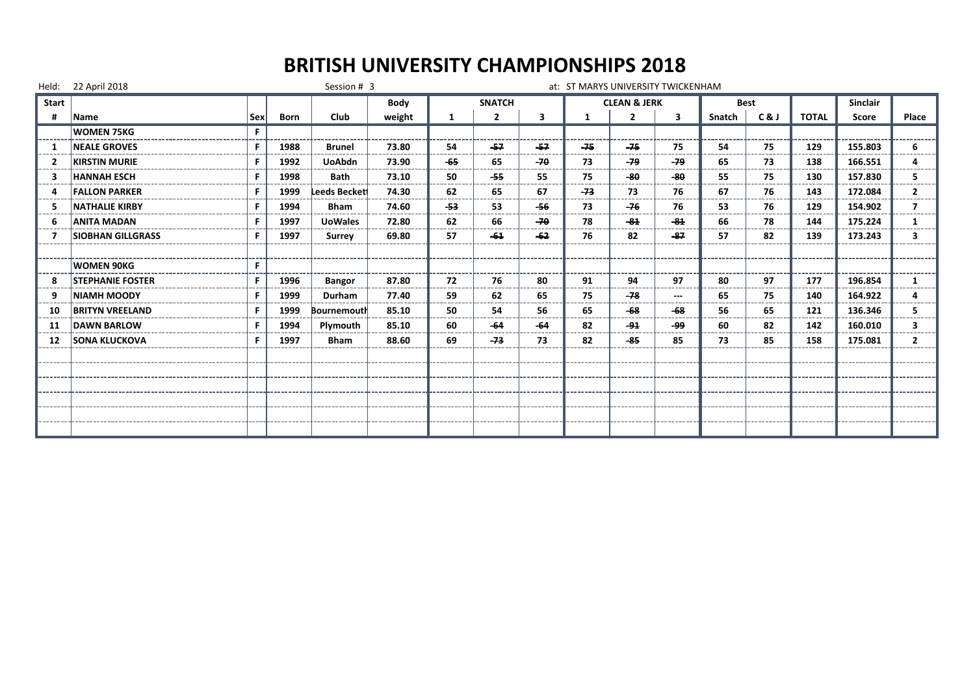## **BRITISH UNIVERSITY CHAMPIONSHIPS 2018**

|              | Held: 22 April 2018      |     |             | Session # 3    |             |       |                |       |              | at: ST MARYS UNIVERSITY TWICKENHAM |       |        |             |              |                 |                |
|--------------|--------------------------|-----|-------------|----------------|-------------|-------|----------------|-------|--------------|------------------------------------|-------|--------|-------------|--------------|-----------------|----------------|
| <b>Start</b> |                          |     |             |                | <b>Body</b> |       | <b>SNATCH</b>  |       |              | <b>CLEAN &amp; JERK</b>            |       |        | <b>Best</b> |              | <b>Sinclair</b> |                |
| н            | Name                     | Sex | <b>Born</b> | Club           | weight      | -1    | $\overline{2}$ | 3     | $\mathbf{1}$ | $\overline{2}$                     | 3     | Snatch | C&J         | <b>TOTAL</b> | Score           | Place          |
|              | <b>WOMEN 75KG</b>        | F.  |             |                |             |       |                |       |              |                                    |       |        |             |              |                 |                |
|              | <b>NEALE GROVES</b>      | F   | 1988        | <b>Brunel</b>  | 73.80       | 54    | $-57$          | $-57$ | $-75$        | $-75$                              | 75    | 54     | 75          | 129          | 155.803         | 6              |
|              | <b>KIRSTIN MURIE</b>     | F   | 1992        | <b>UoAbdn</b>  | 73.90       | $-65$ | 65             | $-70$ | 73           | -79                                | -79   | 65     | 73          | 138          | 166.551         | 4              |
| З            | <b>HANNAH ESCH</b>       | F   | 1998        | <b>Bath</b>    | 73.10       | 50    | -55            | 55    | 75           | -80                                | -80   | 55     | 75          | 130          | 157.830         | 5.             |
|              | <b>FALLON PARKER</b>     | F.  | 1999        | Leeds Beckett  | 74.30       | 62    | 65             | 67    | $-73$        | 73                                 | 76    | 67     | 76          | 143          | 172.084         | $\overline{2}$ |
|              | <b>NATHALIE KIRBY</b>    | F.  | 1994        | <b>Bham</b>    | 74.60       | -53   | 53             | $-56$ | 73           | $-76$                              | 76    | 53     | 76          | 129          | 154.902         | 7              |
|              | <b>ANITA MADAN</b>       | F.  | 1997        | <b>UoWales</b> | 72.80       | 62    | 66             | $-70$ | 78           | $-84$                              | $-84$ | 66     | 78          | 144          | 175.224         | 1              |
|              | <b>SIOBHAN GILLGRASS</b> | F.  | 1997        | Surrey         | 69.80       | 57    | $-64$          | -62   | 76           | 82                                 | $-87$ | 57     | 82          | 139          | 173.243         | 3              |
|              |                          |     |             |                |             |       |                |       |              |                                    |       |        |             |              |                 |                |
|              | <b>WOMEN 90KG</b>        | F.  |             |                |             |       |                |       |              |                                    |       |        |             |              |                 |                |
| 8            | <b>STEPHANIE FOSTER</b>  | F   | 1996        | <b>Bangor</b>  | 87.80       | 72    | 76             | 80    | 91           | 94                                 | 97    | 80     | 97          | 177          | 196.854         | 1              |
|              | <b>NIAMH MOODY</b>       | F   | 1999        | <b>Durham</b>  | 77.40       | 59    | 62             | 65    | 75           | -78                                | $---$ | 65     | 75          | 140          | 164.922         |                |
| 10           | <b>BRITYN VREELAND</b>   | F   | 1999        | Bournemouth    | 85.10       | 50    | 54             | 56    | 65           | $-68$                              | $-68$ | 56     | 65          | 121          | 136.346         | 5              |
| 11           | <b>DAWN BARLOW</b>       | F.  | 1994        | Plymouth       | 85.10       | 60    | $-64$          | $-64$ | 82           | $-94$                              | وو۔   | 60     | 82          | 142          | 160.010         | 3.             |
| 12           | <b>SONA KLUCKOVA</b>     | F.  | 1997        | <b>Bham</b>    | 88.60       | 69    | $-73$          | 73    | 82           | -85                                | 85    | 73     | 85          | 158          | 175.081         | $\mathbf{2}$   |
|              |                          |     |             |                |             |       |                |       |              |                                    |       |        |             |              |                 |                |
|              |                          |     |             |                |             |       |                |       |              |                                    |       |        |             |              |                 |                |
|              |                          |     |             |                |             |       |                |       |              |                                    |       |        |             |              |                 |                |
|              |                          |     |             |                |             |       |                |       |              |                                    |       |        |             |              |                 |                |
|              |                          |     |             |                |             |       |                |       |              |                                    |       |        |             |              |                 |                |
|              |                          |     |             |                |             |       |                |       |              |                                    |       |        |             |              |                 |                |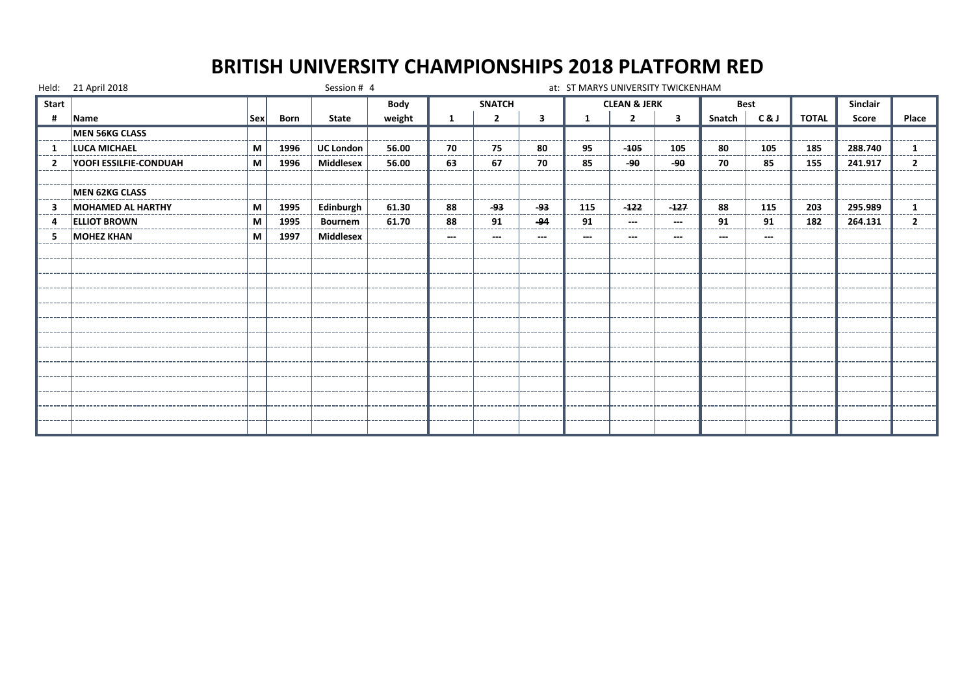|                | Held: 21 April 2018           |             |      | Session # 4      |        |             |                |               |     | at: ST MARYS UNIVERSITY TWICKENHAM |                   |              |       |              |                 |              |
|----------------|-------------------------------|-------------|------|------------------|--------|-------------|----------------|---------------|-----|------------------------------------|-------------------|--------------|-------|--------------|-----------------|--------------|
| Start          |                               |             |      |                  | Body   |             | <b>SNATCH</b>  |               |     | <b>CLEAN &amp; JERK</b>            |                   | <b>Best</b>  |       |              | <b>Sinclair</b> |              |
| #              | Name                          | $ $ Sex $ $ | Born | <b>State</b>     | weight | 1           | $\overline{2}$ | 3             |     | $\overline{2}$                     | 3                 | Snatch       | C&J   | <b>TOTAL</b> | Score           | Place        |
|                | <b>MEN 56KG CLASS</b>         |             |      |                  |        |             |                |               |     |                                    |                   |              |       |              |                 |              |
| -1             | LUCA MICHAEL                  | M           | 1996 | <b>UC London</b> | 56.00  | 70          | 75             | 80            | 95  | $-105$                             | 105               | 80           | 105   | 185          | 288.740         | 1            |
| $\overline{2}$ | <b>YOOFI ESSILFIE-CONDUAH</b> | M           | 1996 | <b>Middlesex</b> | 56.00  | 63          | 67             | 70            | 85  | -90                                | $-90$             | 70           | 85    | 155          | 241.917         | $\mathbf{2}$ |
|                |                               |             |      |                  |        |             |                |               |     |                                    |                   |              |       |              |                 |              |
|                | <b>MEN 62KG CLASS</b>         |             |      |                  |        |             |                |               |     |                                    |                   |              |       |              |                 |              |
| 3              | MOHAMED AL HARTHY             | M           | 1995 | Edinburgh        | 61.30  | 88<br>----- | جو۔<br>----    | ۔93<br>------ | 115 | $-122$<br>------                   | $-127$<br>------- | 88<br>------ | 115   | 203          | 295.989         |              |
| 4              | <b>ELLIOT BROWN</b>           | M           | 1995 | <b>Bournem</b>   | 61.70  | 88          | 91             | -94           | 91  | $---$                              | $--$              | 91           | 91    | 182          | 264.131         | 2            |
| 5              | <b>MOHEZ KHAN</b>             | M           | 1997 | <b>Middlesex</b> |        | $---$       | $---$          | ---           | --- | $---$                              | $---$             | ---          | $---$ |              |                 |              |
|                |                               |             |      |                  |        |             |                |               |     |                                    |                   |              |       |              |                 |              |
|                |                               |             |      |                  |        |             |                |               |     |                                    |                   |              |       |              |                 |              |
|                |                               |             |      |                  |        |             |                |               |     |                                    |                   |              |       |              |                 |              |
|                |                               |             |      |                  |        |             |                |               |     |                                    |                   |              |       |              |                 |              |
|                |                               |             |      |                  |        |             |                |               |     |                                    |                   |              |       |              |                 |              |
|                |                               |             |      |                  |        |             |                |               |     |                                    |                   |              |       |              |                 |              |
|                |                               |             |      |                  |        |             |                |               |     |                                    |                   |              |       |              |                 |              |
|                |                               |             |      |                  |        |             |                |               |     |                                    |                   |              |       |              |                 |              |
|                |                               |             |      |                  |        |             |                |               |     |                                    |                   |              |       |              |                 |              |
|                |                               |             |      |                  |        |             |                |               |     |                                    |                   |              |       |              |                 |              |
|                |                               |             |      |                  |        |             |                |               |     |                                    |                   |              |       |              |                 |              |
|                |                               |             |      |                  |        |             |                |               |     |                                    |                   |              |       |              |                 |              |
|                |                               |             |      |                  |        |             |                |               |     |                                    |                   |              |       |              |                 |              |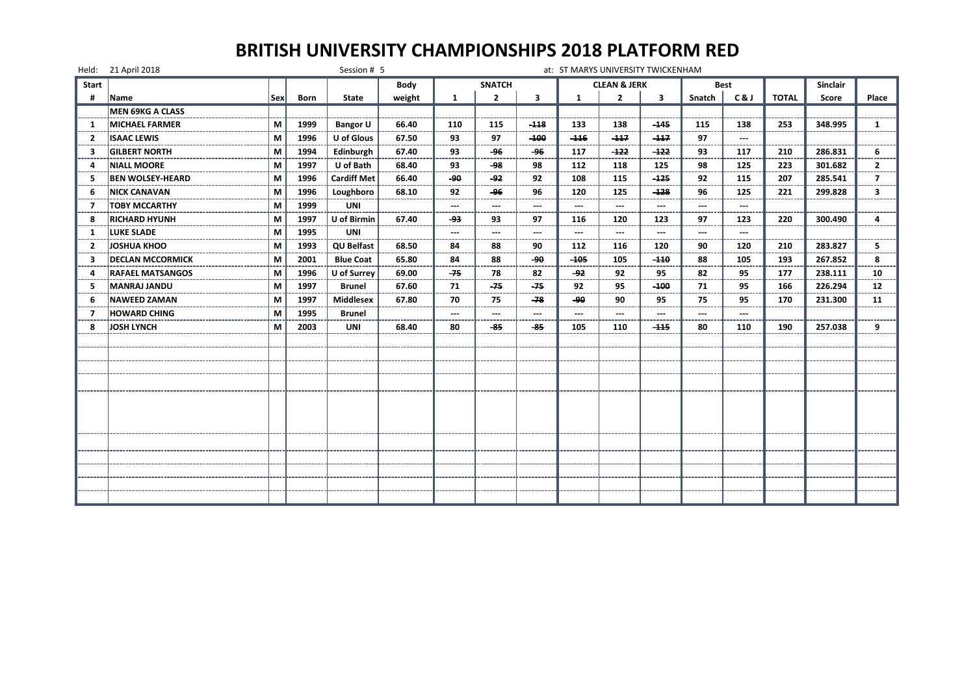|                | Held: 21 April 2018     |     |             | Session # 5        |             |               |                |        |              | at: ST MARYS UNIVERSITY TWICKENHAM |                        |        |             |              |                 |                |
|----------------|-------------------------|-----|-------------|--------------------|-------------|---------------|----------------|--------|--------------|------------------------------------|------------------------|--------|-------------|--------------|-----------------|----------------|
| Start          |                         |     |             |                    | <b>Body</b> |               | <b>SNATCH</b>  |        |              | <b>CLEAN &amp; JERK</b>            |                        |        | <b>Best</b> |              | <b>Sinclair</b> |                |
| #              | Name                    | Sex | <b>Born</b> | State              | weight      | $\mathbf{1}$  | $\overline{2}$ | 3      | $\mathbf{1}$ | $\overline{2}$                     | 3                      | Snatch | C&J         | <b>TOTAL</b> | Score           | Place          |
|                | MEN 69KG A CLASS        |     |             |                    |             |               |                |        |              |                                    |                        |        |             |              |                 |                |
| 1              | <b>MICHAEL FARMER</b>   | M   | 1999        | <b>Bangor U</b>    | 66.40       | 110           | 115            | $-118$ | 133          | 138                                | -145                   | 115    | 138         | 253          | 348.995         | $\mathbf{1}$   |
| 2              | <b>ISAAC LEWIS</b>      | M   | 1996        | U of Glous         | 67.50       | 93            | 97             | $-100$ | $-116$       | $-117$                             | $-117$                 | 97     |             |              |                 |                |
| 3              | <b>GILBERT NORTH</b>    | М   | 1994        | Edinburgh          | 67.40       | 93            | -96            | -96    | 117          | $-122$                             | -122                   | 93     | 117         | 210          | 286.831         | 6              |
| 4              | <b>NIALL MOORE</b>      | M   | 1997        | U of Bath          | 68.40       | 93            | -98            | 98     | 112          | 118                                | 125                    | 98     | 125         | 223          | 301.682         | $\mathbf{2}$   |
| -5             | <b>BEN WOLSEY-HEARD</b> | M   | 1996        | <b>Cardiff Met</b> | 66.40       | ھو۔           | چو۔            | 92     | 108          | 115                                | $-125$                 | 92     | 115         | 207          | 285.541         | $\overline{7}$ |
| -6             | <b>NICK CANAVAN</b>     | М   | 1996        | Loughboro          | 68.10       | 92            | -96            | 96     | 120          | 125                                | $-128$                 | 96     | 125         | 221          | 299.828         | 3              |
| 7              | <b>TOBY MCCARTHY</b>    | М   | 1999        | <b>UNI</b>         |             | $\sim$ $\sim$ | ---            | ---    | ---          | $\cdots$                           | $\qquad \qquad \cdots$ | ---    | $\sim$      |              |                 |                |
| 8              | <b>RICHARD HYUNH</b>    | M   | 1997        | U of Birmin        | 67.40       | -93           | 93             | 97     | 116          | 120                                | 123                    | 97     | 123         | 220          | 300.490         | 4              |
| -1             | <b>LUKE SLADE</b>       | M   | 1995        | <b>UNI</b>         |             | $\sim$ $\sim$ | ---            | ---    | ---          | $\overline{a}$                     | $---$                  | ---    | ---         |              |                 |                |
| $\overline{2}$ | <b>JOSHUA KHOO</b>      | М   | 1993        | <b>QU Belfast</b>  | 68.50       | 84            | 88             | 90     | 112          | 116                                | 120                    | 90     | 120         | 210          | 283.827         | 5.             |
| з              | <b>DECLAN MCCORMICK</b> | М   | 2001        | <b>Blue Coat</b>   | 65.80       | 84            | 88             | $-90$  | $-105$       | 105                                | $-110$                 | 88     | 105         | 193          | 267.852         | 8              |
| 4              | <b>RAFAEL MATSANGOS</b> | M   | 1996        | U of Surrey        | 69.00       | $-75$         | 78             | 82     | -92          | 92                                 | 95                     | 82     | 95          | 177          | 238.111         | 10             |
| 5              | MANRAJ JANDU            | М   | 1997        | <b>Brunel</b>      | 67.60       | 71            | $-75$          | -75    | 92           | 95                                 | $-100$                 | 71     | 95          | 166          | 226.294         | 12             |
| 6              | <b>NAWEED ZAMAN</b>     | М   | 1997        | <b>Middlesex</b>   | 67.80       | 70            | 75             | -78    | -90          | 90                                 | 95                     | 75     | 95          | 170          | 231.300         | 11             |
| 7              | <b>HOWARD CHING</b>     | M   | 1995        | <b>Brunel</b>      |             | ---           | ---            | ---    |              | ---                                | ---                    | ---    | ---         |              |                 |                |
| 8              | <b>JOSH LYNCH</b>       | М   | 2003        | <b>UNI</b>         | 68.40       | 80            | -85            | -85    | 105          | 110                                | $-115$                 | 80     | 110         | 190          | 257.038         | 9              |
|                |                         |     |             |                    |             |               |                |        |              |                                    |                        |        |             |              |                 |                |
|                |                         |     |             |                    |             |               |                |        |              |                                    |                        |        |             |              |                 |                |
|                |                         |     |             |                    |             |               |                |        |              |                                    |                        |        |             |              |                 |                |
|                |                         |     |             |                    |             |               |                |        |              |                                    |                        |        |             |              |                 |                |
|                |                         |     |             |                    |             |               |                |        |              |                                    |                        |        |             |              |                 |                |
|                |                         |     |             |                    |             |               |                |        |              |                                    |                        |        |             |              |                 |                |
|                |                         |     |             |                    |             |               |                |        |              |                                    |                        |        |             |              |                 |                |
|                |                         |     |             |                    |             |               |                |        |              |                                    |                        |        |             |              |                 |                |
|                |                         |     |             |                    |             |               |                |        |              |                                    |                        |        |             |              |                 |                |
|                |                         |     |             |                    |             |               |                |        |              |                                    |                        |        |             |              |                 |                |
|                |                         |     |             |                    |             |               |                |        |              |                                    |                        |        |             |              |                 |                |
|                |                         |     |             |                    |             |               |                |        |              |                                    |                        |        |             |              |                 |                |
|                |                         |     |             |                    |             |               |                |        |              |                                    |                        |        |             |              |                 |                |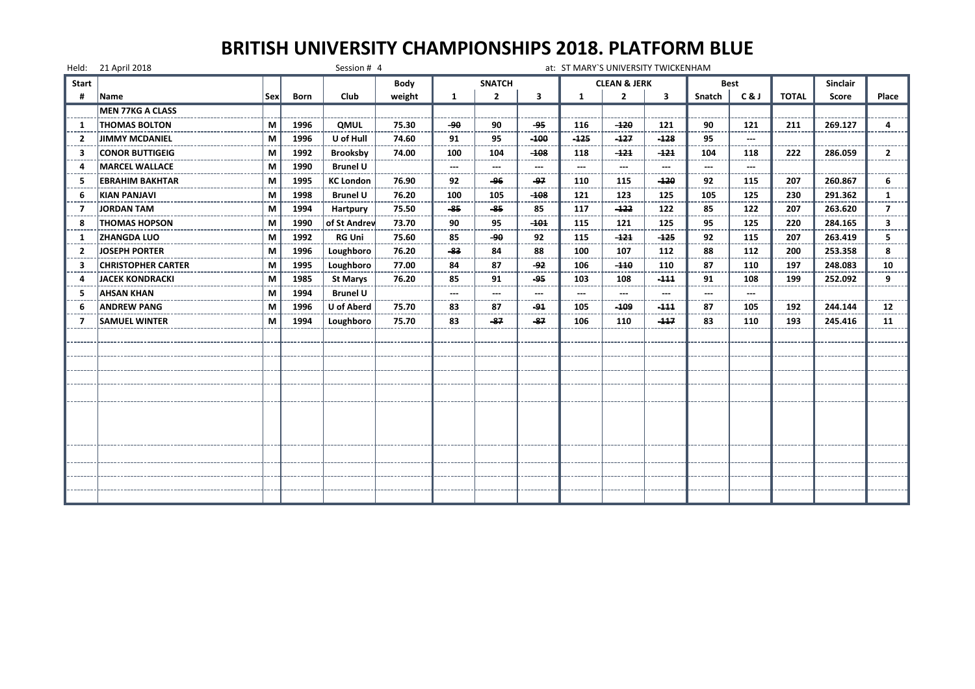|                | Held: 21 April 2018       |            |             | Session # 4       |        |                          |                          |                          | at: ST MARY'S UNIVERSITY TWICKENHAM |                         |                          |        |             |              |                 |              |
|----------------|---------------------------|------------|-------------|-------------------|--------|--------------------------|--------------------------|--------------------------|-------------------------------------|-------------------------|--------------------------|--------|-------------|--------------|-----------------|--------------|
| <b>Start</b>   |                           |            |             |                   | Body   |                          | <b>SNATCH</b>            |                          |                                     | <b>CLEAN &amp; JERK</b> |                          |        | <b>Best</b> |              | <b>Sinclair</b> |              |
| #              | Name                      | <b>Sex</b> | <b>Born</b> | Club              | weight | $\mathbf{1}$             | $\overline{2}$           | 3                        | 1                                   | $\overline{2}$          | 3                        | Snatch | C&J         | <b>TOTAL</b> | Score           | Place        |
|                | <b>MEN 77KG A CLASS</b>   |            |             |                   |        |                          |                          |                          |                                     |                         |                          |        |             |              |                 |              |
| -1             | <b>THOMAS BOLTON</b>      | м          | 1996        | <b>QMUL</b>       | 75.30  | -90                      | 90                       | -95                      | 116                                 | $-120$                  | 121                      | 90     | 121         | 211          | 269.127         | 4            |
| 2              | <b>JIMMY MCDANIEL</b>     | М          | 1996        | U of Hull         | 74.60  | 91<br>$- - -$            | 95                       | $-100$                   | $-125$                              | $-127$                  | $-128$                   | 95     | ---         |              |                 |              |
| 3              | <b>CONOR BUTTIGEIG</b>    | M          | 1992        | <b>Brooksby</b>   | 74.00  | 100                      | 104                      | $-108$                   | 118                                 | -121                    | -121                     | 104    | 118         | 222          | 286.059         | $\mathbf{2}$ |
| Δ              | <b>MARCEL WALLACE</b>     | м          | 1990        | <b>Brunel U</b>   |        | $\hspace{0.05cm} \ldots$ | $\qquad \qquad \cdots$   | $---$                    | ---                                 | ---                     | $---$                    | ---    |             |              |                 |              |
| 5              | <b>EBRAHIM BAKHTAR</b>    | м          | 1995        | <b>KC London</b>  | 76.90  | 92                       | -96                      | -97                      | 110                                 | 115                     | -120                     | 92     | 115         | 207          | 260.867         | 6            |
| 6              | KIAN PANJAVI              | М          | 1998        | <b>Brunel U</b>   | 76.20  | 100                      | 105                      | $-108$                   | 121                                 | 123                     | 125                      | 105    | 125         | 230          | 291.362         | 1            |
| 7              | <b>JORDAN TAM</b>         | М          | 1994        | Hartpury          | 75.50  | -85                      | -85                      | 85                       | 117                                 | $-122$                  | 122                      | 85     | 122         | 207          | 263.620         | 7            |
| 8              | <b>THOMAS HOPSON</b>      | м          | 1990        | of St Andrew      | 73.70  | 90                       | 95                       | $-101$                   | 115                                 | 121                     | 125                      | 95     | 125         | 220          | 284.165         | 3            |
| -1             | <b>ZHANGDA LUO</b>        | м          | 1992        | <b>RG Uni</b>     | 75.60  | 85                       | -90                      | 92                       | 115                                 | $-121$                  | $-125$                   | 92     | 115         | 207          | 263.419         | 5.           |
| $\overline{2}$ | <b>JOSEPH PORTER</b>      | М          | 1996        | Loughboro         | 76.20  | -83                      | 84                       | 88                       | 100                                 | 107                     | 112                      | 88     | 112         | 200          | 253.358         | 8            |
| 3              | <b>CHRISTOPHER CARTER</b> | М          | 1995        | Loughboro         | 77.00  | 84                       | 87                       | -92                      | 106                                 | $-110$                  | 110                      | 87     | 110         | 197          | 248.083         | 10           |
| Δ              | <b>JACEK KONDRACKI</b>    | М          | 1985        | <b>St Marys</b>   | 76.20  | 85                       | 91                       | -95                      | 103                                 | 108                     | -111                     | 91     | 108         | 199          | 252.092         | 9            |
| -5             | <b>AHSAN KHAN</b>         | м          | 1994        | <b>Brunel U</b>   |        | $---$                    | $\hspace{0.05cm} \ldots$ | $\hspace{0.05cm} \ldots$ | $---$                               | $---$                   | $\hspace{0.05cm} \ldots$ | $---$  | $---$       |              |                 |              |
| 6              | <b>ANDREW PANG</b>        | М          | 1996        | <b>U</b> of Aberd | 75.70  | 83                       | 87<br>----               | $-94$                    | 105                                 | $-109$                  | $-111$                   | 87     | 105         | 192          | 244.144         | 12           |
| 7              | <b>SAMUEL WINTER</b>      | М          | 1994        | Loughboro         | 75.70  | 83                       | -87                      | -87                      | 106                                 | 110                     | -117                     | 83     | 110         | 193          | 245.416         | 11           |
|                |                           |            |             |                   |        |                          |                          |                          |                                     |                         |                          |        |             |              |                 |              |
|                |                           |            |             |                   |        |                          |                          |                          |                                     |                         |                          |        |             |              |                 |              |
|                |                           |            |             |                   |        |                          |                          |                          |                                     |                         |                          |        |             |              |                 |              |
|                |                           |            |             |                   |        |                          |                          |                          |                                     |                         |                          |        |             |              |                 |              |
|                |                           |            |             |                   |        |                          |                          |                          |                                     |                         |                          |        |             |              |                 |              |
|                |                           |            |             |                   |        |                          |                          |                          |                                     |                         |                          |        |             |              |                 |              |
|                |                           |            |             |                   |        |                          |                          |                          |                                     |                         |                          |        |             |              |                 |              |
|                |                           |            |             |                   |        |                          |                          |                          |                                     |                         |                          |        |             |              |                 |              |
|                |                           |            |             |                   |        |                          |                          |                          |                                     |                         |                          |        |             |              |                 |              |
|                |                           |            |             |                   |        |                          |                          |                          |                                     |                         |                          |        |             |              |                 |              |
|                |                           |            |             |                   |        |                          |                          |                          |                                     |                         |                          |        |             |              |                 |              |
|                |                           |            |             |                   |        |                          |                          |                          |                                     |                         |                          |        |             |              |                 |              |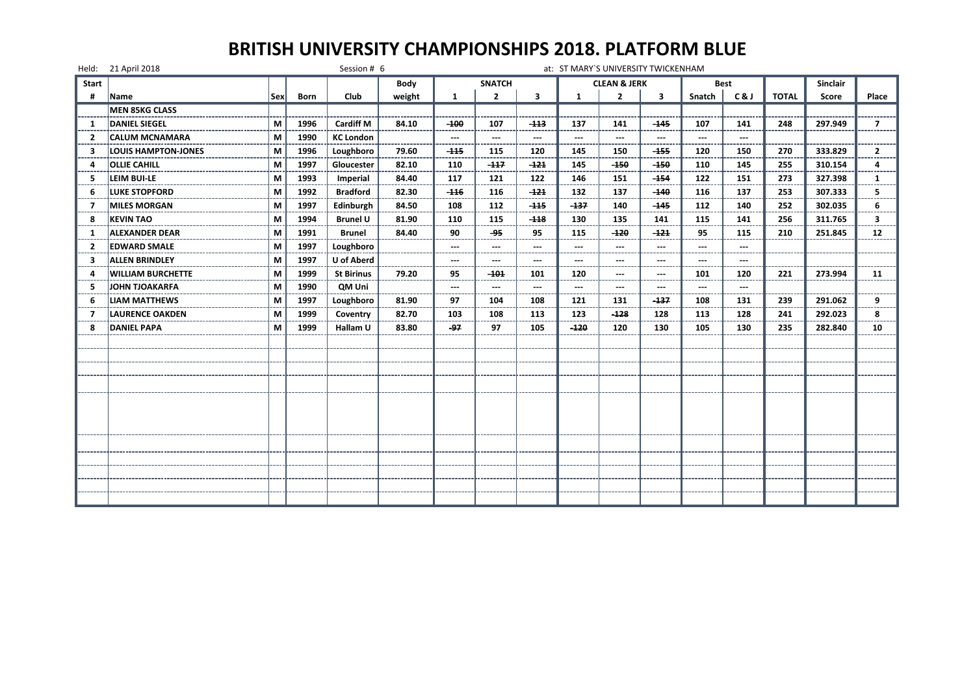|                | Held: 21 April 2018        |     |             | Session # 6       |        |               |               |        |                | at: ST MARY'S UNIVERSITY TWICKENHAM |                        |                          |                          |              |                 |                   |
|----------------|----------------------------|-----|-------------|-------------------|--------|---------------|---------------|--------|----------------|-------------------------------------|------------------------|--------------------------|--------------------------|--------------|-----------------|-------------------|
| <b>Start</b>   |                            |     |             |                   | Body   |               | <b>SNATCH</b> |        |                | <b>CLEAN &amp; JERK</b>             |                        |                          | Best                     |              | <b>Sinclair</b> |                   |
|                | Name                       | Sex | <b>Born</b> | Club              | weight | 1             | $\mathbf{2}$  | 3      | 1              | $\overline{2}$                      | 3                      | Snatch                   | C&J                      | <b>TOTAL</b> | Score           | Place             |
|                | MEN 85KG CLASS             |     |             |                   |        |               |               |        |                |                                     |                        |                          |                          |              |                 |                   |
| 1              | <b>DANIEL SIEGEL</b>       | M   | 1996        | <b>Cardiff M</b>  | 84.10  | -100          | 107           | -113   | 137            | 141                                 | -145                   | 107                      | 141                      | 248          | 297.949         | 7                 |
| $\overline{2}$ | <b>CALUM MCNAMARA</b>      | M   | 1990        | <b>KC London</b>  |        | $\sim$        | $\sim$        | $\sim$ | $\sim$         | $-$                                 | $\sim$                 | $\overline{\phantom{a}}$ | $\overline{\phantom{a}}$ |              |                 |                   |
| 3              | <b>LOUIS HAMPTON-JONES</b> | M   | 1996        | Loughboro         | 79.60  | $-115$        | 115           | 120    | 145            | 150                                 | $-155$                 | 120                      | 150                      | 270          | 333.829         | $\overline{2}$    |
| Δ              | <b>OLLIE CAHILL</b>        | M   | 1997        | Gloucester        | 82.10  | 110           | $-117$        | $-121$ | 145            | $-150$                              | -150                   | 110                      | 145                      | 255          | 310.154         | 4                 |
| 5              | LEIM BUI-LE                | M   | 1993        | Imperial          | 84.40  | 117           | 121           | 122    | 146            | 151                                 | -154                   | 122                      | 151                      | 273          | 327.398         | 1                 |
| 6              | LUKE STOPFORD              | M   | 1992        | <b>Bradford</b>   | 82.30  | $-116$        | 116           | $-121$ | 132            | 137                                 | -140                   | 116                      | 137                      | 253          | 307.333         | 5                 |
| -7             | <b>MILES MORGAN</b>        | М   | 1997        | Edinburgh         | 84.50  | 108           | 112           | $-115$ | $-137$         | 140                                 | -145                   | 112                      | 140                      | 252          | 302.035         | 6                 |
| 8              | <b>KEVIN TAO</b>           | М   | 1994        | <b>Brunel U</b>   | 81.90  | 110           | 115           | $-118$ | 130            | 135                                 | 141                    | 115                      | 141                      | 256          | 311.765         | 3                 |
| -1             | <b>ALEXANDER DEAR</b>      | M   | 1991        | <b>Brunel</b>     | 84.40  | 90            | -95           | 95     | 115            | $-120$                              | $-121$                 | 95                       | 115                      | 210          | 251.845         | $12 \overline{ }$ |
| $\overline{2}$ | <b>EDWARD SMALE</b>        | M   | 1997        | Loughboro         |        | $\sim$ $\sim$ | $\sim$        | ---    | $---$          | $\sim$                              | $---$                  | $\overline{\phantom{a}}$ | $---$                    |              |                 |                   |
| 3              | <b>ALLEN BRINDLEY</b>      | M   | 1997        | U of Aberd        |        | $\sim$        | $\sim$        | ---    | $\overline{a}$ | $\sim$                              | $---$                  | ---                      | ---                      |              |                 |                   |
| 4              | <b>WILLIAM BURCHETTE</b>   | M   | 1999        | <b>St Birinus</b> | 79.20  | 95            | -101          | 101    | 120            | $\overline{\phantom{a}}$            | $\qquad \qquad \cdots$ | 101                      | 120                      | 221          | 273.994         | 11                |
| 5              | JOHN TJOAKARFA             | M   | 1990        | <b>OM Uni</b>     |        | $\sim$        | $\sim$        | $-$    | $-$            | $\overline{a}$                      | $---$                  | $\overline{a}$           | $\overline{a}$           |              |                 |                   |
| 6              | <b>LIAM MATTHEWS</b>       | М   | 1997        | Loughboro         | 81.90  | 97            | 104           | 108    | 121            | 131                                 | -137                   | 108                      | 131                      | 239          | 291.062         | 9                 |
| 7              | <b>LAURENCE OAKDEN</b>     | М   | 1999        | Coventry          | 82.70  | 103<br>----   | 108           | 113    | 123            | $-128$                              | 128                    | 113                      | 128                      | 241          | 292.023         | 8                 |
| 8              | <b>DANIEL PAPA</b>         | M   | 1999        | Hallam U          | 83.80  | $-97$         | 97            | 105    | $-120$         | 120                                 | 130                    | 105                      | 130                      | 235          | 282.840         | 10                |
|                |                            |     |             |                   |        |               |               |        |                |                                     |                        |                          |                          |              |                 |                   |
|                |                            |     |             |                   |        |               |               |        |                |                                     |                        |                          |                          |              |                 |                   |
|                |                            |     |             |                   |        |               |               |        |                |                                     |                        |                          |                          |              |                 |                   |
|                |                            |     |             |                   |        |               |               |        |                |                                     |                        |                          |                          |              |                 |                   |
|                |                            |     |             |                   |        |               |               |        |                |                                     |                        |                          |                          |              |                 |                   |
|                |                            |     |             |                   |        |               |               |        |                |                                     |                        |                          |                          |              |                 |                   |
|                |                            |     |             |                   |        |               |               |        |                |                                     |                        |                          |                          |              |                 |                   |
|                |                            |     |             |                   |        |               |               |        |                |                                     |                        |                          |                          |              |                 |                   |
|                |                            |     |             |                   |        |               |               |        |                |                                     |                        |                          |                          |              |                 |                   |
|                |                            |     |             |                   |        |               |               |        |                |                                     |                        |                          |                          |              |                 |                   |
|                |                            |     |             |                   |        |               |               |        |                |                                     |                        |                          |                          |              |                 |                   |
|                |                            |     |             |                   |        |               |               |        |                |                                     |                        |                          |                          |              |                 |                   |
|                |                            |     |             |                   |        |               |               |        |                |                                     |                        |                          |                          |              |                 |                   |